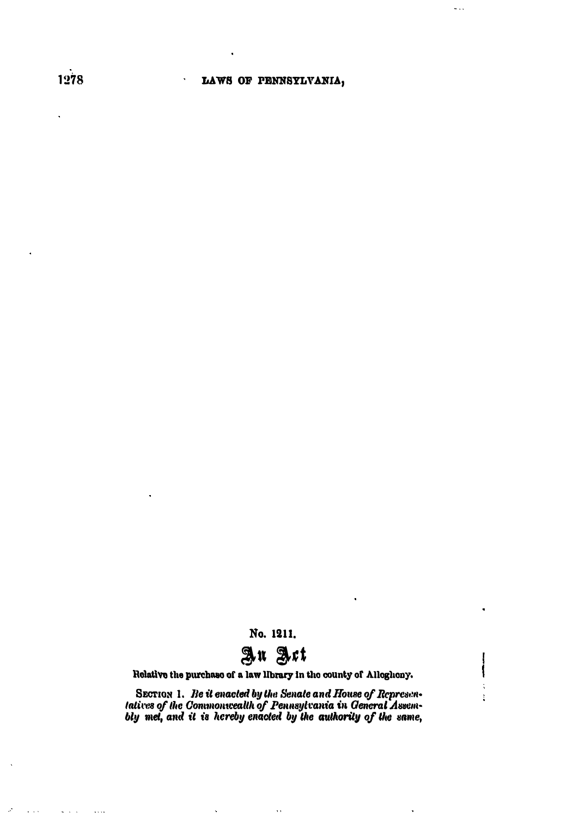$\hat{\mathbf{r}}$ 

 $\hat{\theta}$  , ,

١

 $\ddot{\cdot}$ 

ţ

No. 1211.



Relative the purchase of a law library in the county of Allegheny.

SECTION 1. Be it enacted by the Senate and House of Representatives of the Commonwealth of Pennsylvania in General Assem-<br>bly met, and it is hereby enacted by the authority of the same,

 $\ddot{\phantom{a}}$ 

 $\ddot{\phantom{a}}$ 

 $\mathcal{A}$ 

 $\sim$   $\sim$ 

 $\mathbf{S}^{\prime}$  ,  $\mathbf{S}^{\prime}$  ,  $\mathbf{S}^{\prime}$ 

 $\ldots$